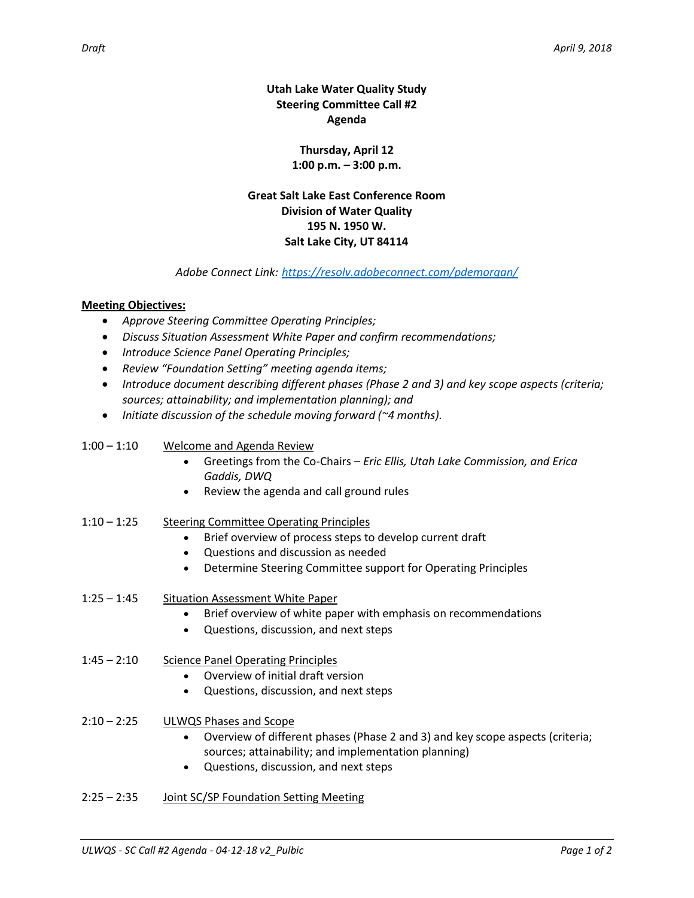**Utah Lake Water Quality Study Steering Committee Call #2 Agenda**

> **Thursday, April 12 1:00 p.m. – 3:00 p.m.**

**Great Salt Lake East Conference Room Division of Water Quality 195 N. 1950 W. Salt Lake City, UT 84114**

## *Adobe Connect Link: <https://resolv.adobeconnect.com/pdemorgan/>*

## **Meeting Objectives:**

- *Approve Steering Committee Operating Principles;*
- *Discuss Situation Assessment White Paper and confirm recommendations;*
- *Introduce Science Panel Operating Principles;*
- *Review "Foundation Setting" meeting agenda items;*
- *Introduce document describing different phases (Phase 2 and 3) and key scope aspects (criteria; sources; attainability; and implementation planning); and*
- *Initiate discussion of the schedule moving forward (~4 months).*

## 1:00 – 1:10 Welcome and Agenda Review

- Greetings from the Co-Chairs *Eric Ellis, Utah Lake Commission, and Erica Gaddis, DWQ*
- Review the agenda and call ground rules
- 1:10 1:25 Steering Committee Operating Principles
	- Brief overview of process steps to develop current draft
	- Questions and discussion as needed
	- Determine Steering Committee support for Operating Principles
- 1:25 1:45 Situation Assessment White Paper
	- Brief overview of white paper with emphasis on recommendations
	- Questions, discussion, and next steps
- 1:45 2:10 Science Panel Operating Principles
	- Overview of initial draft version
	- Questions, discussion, and next steps
- 2:10 2:25 ULWQS Phases and Scope
	- Overview of different phases (Phase 2 and 3) and key scope aspects (criteria; sources; attainability; and implementation planning)
	- Questions, discussion, and next steps
- 2:25 2:35 Joint SC/SP Foundation Setting Meeting